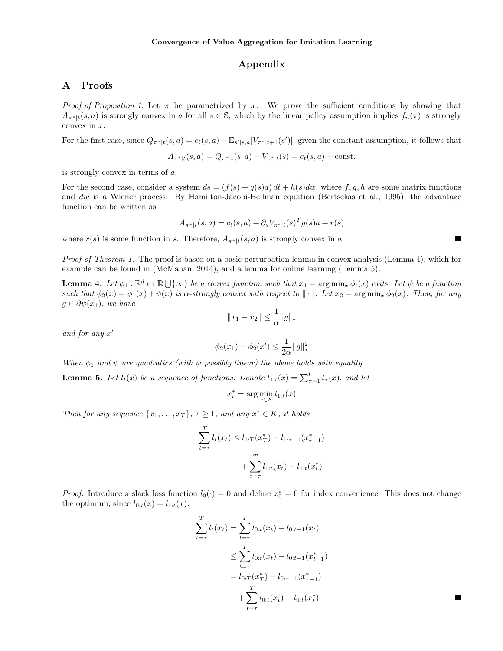## Appendix

# A Proofs

*Proof of Proposition 1.* Let  $\pi$  be parametrized by x. We prove the sufficient conditions by showing that  $A_{\pi^*|t}(s, a)$  is strongly convex in a for all  $s \in \mathbb{S}$ , which by the linear policy assumption implies  $f_n(\pi)$  is strongly convex in x.

For the first case, since  $Q_{\pi^*|t}(s, a) = c_t(s, a) + \mathbb{E}_{s'|s, a}[V_{\pi^*|t+1}(s')]$ , given the constant assumption, it follows that

$$
A_{\pi^*|t}(s, a) = Q_{\pi^*|t}(s, a) - V_{\pi^*|t}(s) = c_t(s, a) + \text{const.}
$$

is strongly convex in terms of a.

For the second case, consider a system  $ds = (f(s) + g(s)a) dt + h(s) dw$ , where f, g, h are some matrix functions and dw is a Wiener process. By Hamilton-Jacobi-Bellman equation (Bertsekas et al., 1995), the advantage function can be written as

$$
A_{\pi^*|t}(s, a) = c_t(s, a) + \partial_s V_{\pi^*|t}(s)^T g(s) a + r(s)
$$

where  $r(s)$  is some function in s. Therefore,  $A_{\pi^*|t}(s, a)$  is strongly convex in a.

Proof of Theorem 1. The proof is based on a basic perturbation lemma in convex analysis (Lemma 4), which for example can be found in (McMahan, 2014), and a lemma for online learning (Lemma 5).

**Lemma 4.** Let  $\phi_1 : \mathbb{R}^d \mapsto \mathbb{R} \bigcup \{\infty\}$  be a convex function such that  $x_1 = \arg \min_x \phi_t(x)$  exits. Let  $\psi$  be a function such that  $\phi_2(x) = \phi_1(x) + \psi(x)$  is  $\alpha$ -strongly convex with respect to  $\|\cdot\|$ . Let  $x_2 = \arg \min_x \phi_2(x)$ . Then, for any  $g \in \partial \psi(x_1)$ , we have

$$
||x_1 - x_2|| \le \frac{1}{\alpha} ||g||_*
$$

and for any  $x'$ 

$$
\phi_2(x_1) - \phi_2(x') \le \frac{1}{2\alpha} \|g\|_*^2
$$

When  $\phi_1$  and  $\psi$  are quadratics (with  $\psi$  possibly linear) the above holds with equality.

**Lemma 5.** Let  $l_t(x)$  be a sequence of functions. Denote  $l_{1:t}(x) = \sum_{\tau=1}^t l_{\tau}(x)$ . and let

$$
x_t^* = \arg\min_{x \in K} l_{1:t}(x)
$$

Then for any sequence  $\{x_1, \ldots, x_T\}$ ,  $\tau \geq 1$ , and any  $x^* \in K$ , it holds

$$
\sum_{t=\tau}^{T} l_t(x_t) \le l_{1:T}(x_T^*) - l_{1:\tau-1}(x_{\tau-1}^*)
$$

$$
+ \sum_{t=\tau}^{T} l_{1:t}(x_t) - l_{1:t}(x_t^*)
$$

*Proof.* Introduce a slack loss function  $l_0(\cdot) = 0$  and define  $x_0^* = 0$  for index convenience. This does not change the optimum, since  $l_{0:t}(x) = l_{1:t}(x)$ .

$$
\sum_{t=\tau}^{T} l_t(x_t) = \sum_{t=\tau}^{T} l_{0:t}(x_t) - l_{0:t-1}(x_t)
$$
\n
$$
\leq \sum_{t=\tau}^{T} l_{0:t}(x_t) - l_{0:t-1}(x_{t-1}^*)
$$
\n
$$
= l_{0:T}(x_T^*) - l_{0:\tau-1}(x_{\tau-1}^*)
$$
\n
$$
+ \sum_{t=\tau}^{T} l_{0:t}(x_t) - l_{0:t}(x_t^*)
$$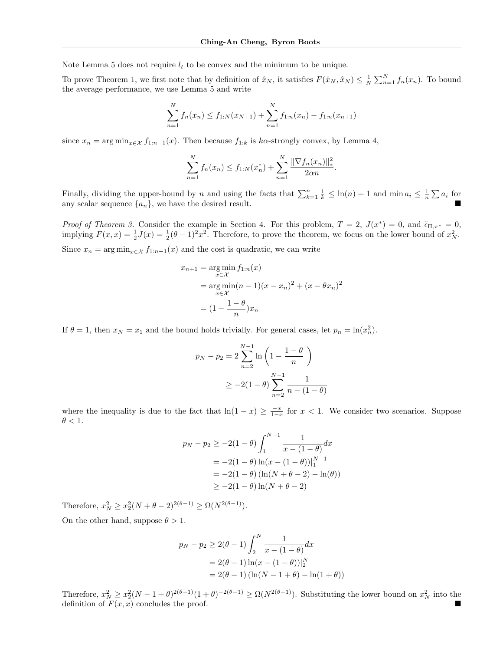Note Lemma 5 does not require  $l_t$  to be convex and the minimum to be unique.

To prove Theorem 1, we first note that by definition of  $\hat{x}_N$ , it satisfies  $F(\hat{x}_N, \hat{x}_N) \leq \frac{1}{N} \sum_{n=1}^N f_n(x_n)$ . To bound the average performance, we use Lemma 5 and write

$$
\sum_{n=1}^{N} f_n(x_n) \le f_{1:N}(x_{N+1}) + \sum_{n=1}^{N} f_{1:n}(x_n) - f_{1:n}(x_{n+1})
$$

since  $x_n = \arg \min_{x \in \mathcal{X}} f_{1:n-1}(x)$ . Then because  $f_{1:k}$  is k $\alpha$ -strongly convex, by Lemma 4,

$$
\sum_{n=1}^{N} f_n(x_n) \le f_{1:N}(x_n^*) + \sum_{n=1}^{N} \frac{\|\nabla f_n(x_n)\|_{*}^2}{2\alpha n}.
$$

Finally, dividing the upper-bound by n and using the facts that  $\sum_{k=1}^{n} \frac{1}{k} \leq \ln(n) + 1$  and  $\min a_i \leq \frac{1}{n} \sum a_i$  for any scalar sequence  $\{a_n\}$ , we have the desired result.

Proof of Theorem 3. Consider the example in Section 4. For this problem,  $T = 2$ ,  $J(x^*) = 0$ , and  $\tilde{\epsilon}_{\Pi,\pi^*} = 0$ , implying  $F(x,x) = \frac{1}{2}J(x) = \frac{1}{2}(\theta - 1)^2 x^2$ . Therefore, to prove the theorem, we focus on the lower bound of  $x_N^2$ . Since  $x_n = \arg \min_{x \in \mathcal{X}} f_{1:n-1}(x)$  and the cost is quadratic, we can write

$$
x_{n+1} = \underset{x \in \mathcal{X}}{\arg \min} f_{1:n}(x)
$$
  
= 
$$
\underset{x \in \mathcal{X}}{\arg \min} (n-1)(x - x_n)^2 + (x - \theta x_n)^2
$$
  
= 
$$
(1 - \frac{1 - \theta}{n})x_n
$$

If  $\theta = 1$ , then  $x_N = x_1$  and the bound holds trivially. For general cases, let  $p_n = \ln(x_n^2)$ .

$$
p_N - p_2 = 2 \sum_{n=2}^{N-1} \ln \left( 1 - \frac{1-\theta}{n} \right)
$$
  
 
$$
\geq -2(1-\theta) \sum_{n=2}^{N-1} \frac{1}{n - (1-\theta)}
$$

where the inequality is due to the fact that  $\ln(1-x) \geq \frac{-x}{1-x}$  for  $x < 1$ . We consider two scenarios. Suppose  $\theta < 1.$ 

$$
p_N - p_2 \ge -2(1 - \theta) \int_1^{N-1} \frac{1}{x - (1 - \theta)} dx
$$
  
= -2(1 - \theta) ln(x - (1 - \theta))|\_1^{N-1}  
= -2(1 - \theta) (ln(N + \theta - 2) - ln(\theta))  
 $\ge -2(1 - \theta) ln(N + \theta - 2)$ 

Therefore,  $x_N^2 \ge x_2^2(N + \theta - 2)^{2(\theta - 1)} \ge \Omega(N^{2(\theta - 1)}).$ On the other hand, suppose  $\theta > 1$ .

$$
p_N - p_2 \ge 2(\theta - 1) \int_2^N \frac{1}{x - (1 - \theta)} dx
$$
  
= 2(\theta - 1) \ln(x - (1 - \theta))|\_2^N  
= 2(\theta - 1) (\ln(N - 1 + \theta) - \ln(1 + \theta))

Therefore,  $x_N^2 \ge x_2^2(N-1+\theta)^{2(\theta-1)}(1+\theta)^{-2(\theta-1)} \ge \Omega(N^{2(\theta-1)})$ . Substituting the lower bound on  $x_N^2$  into the definition of  $F(x, x)$  concludes the proof.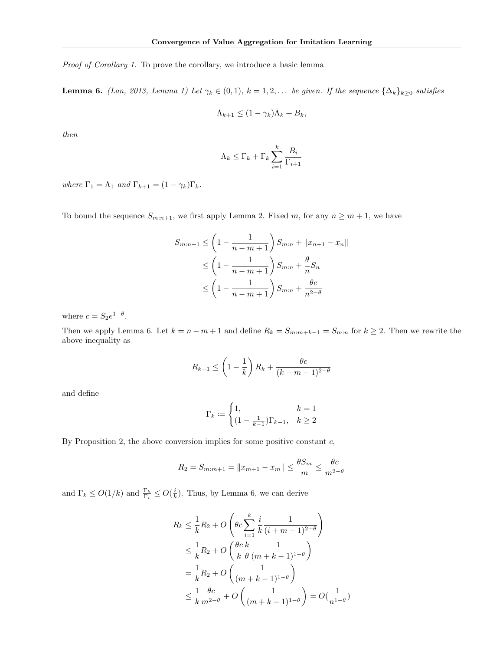Proof of Corollary 1. To prove the corollary, we introduce a basic lemma

**Lemma 6.** (Lan, 2013, Lemma 1) Let  $\gamma_k \in (0,1)$ ,  $k = 1,2,...$  be given. If the sequence  $\{\Delta_k\}_{k\geq 0}$  satisfies

$$
\Lambda_{k+1} \le (1 - \gamma_k)\Lambda_k + B_k,
$$

then

$$
\Lambda_k \leq \Gamma_k + \Gamma_k \sum_{i=1}^k \frac{B_i}{\Gamma_{i+1}}
$$

where  $\Gamma_1 = \Lambda_1$  and  $\Gamma_{k+1} = (1 - \gamma_k) \Gamma_k$ .

To bound the sequence  $S_{m:n+1}$ , we first apply Lemma 2. Fixed m, for any  $n \geq m+1$ , we have

$$
S_{m:n+1} \le \left(1 - \frac{1}{n - m + 1}\right) S_{m:n} + ||x_{n+1} - x_n||
$$
  
\n
$$
\le \left(1 - \frac{1}{n - m + 1}\right) S_{m:n} + \frac{\theta}{n} S_n
$$
  
\n
$$
\le \left(1 - \frac{1}{n - m + 1}\right) S_{m:n} + \frac{\theta c}{n^{2 - \theta}}
$$

where  $c = S_2 e^{1-\theta}$ .

Then we apply Lemma 6. Let  $k = n - m + 1$  and define  $R_k = S_{m:m+k-1} = S_{m:n}$  for  $k \ge 2$ . Then we rewrite the above inequality as

$$
R_{k+1} \le \left(1 - \frac{1}{k}\right)R_k + \frac{\theta c}{(k+m-1)^{2-\theta}}
$$

and define

$$
\Gamma_k := \begin{cases} 1, & k = 1 \\ (1 - \frac{1}{k-1})\Gamma_{k-1}, & k \ge 2 \end{cases}
$$

By Proposition 2, the above conversion implies for some positive constant  $c$ ,

$$
R_2 = S_{m:m+1} = ||x_{m+1} - x_m|| \le \frac{\theta S_m}{m} \le \frac{\theta c}{m^{2-\theta}}
$$

and  $\Gamma_k \leq O(1/k)$  and  $\frac{\Gamma_k}{\Gamma_i} \leq O(\frac{i}{k})$ . Thus, by Lemma 6, we can derive

$$
R_k \le \frac{1}{k} R_2 + O\left(\theta c \sum_{i=1}^k \frac{i}{k} \frac{1}{(i+m-1)^{2-\theta}}\right)
$$
  

$$
\le \frac{1}{k} R_2 + O\left(\frac{\theta c}{k} \frac{k}{\theta} \frac{1}{(m+k-1)^{1-\theta}}\right)
$$
  

$$
= \frac{1}{k} R_2 + O\left(\frac{1}{(m+k-1)^{1-\theta}}\right)
$$
  

$$
\le \frac{1}{k} \frac{\theta c}{m^{2-\theta}} + O\left(\frac{1}{(m+k-1)^{1-\theta}}\right) = O(\frac{1}{n^{1-\theta}})
$$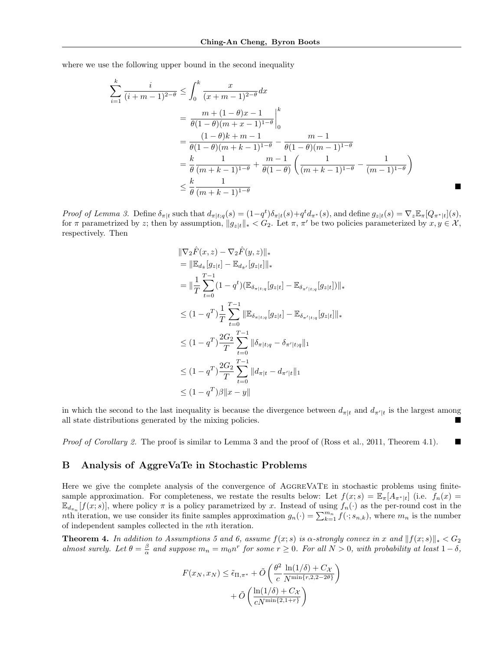where we use the following upper bound in the second inequality

$$
\sum_{i=1}^{k} \frac{i}{(i+m-1)^{2-\theta}} \le \int_0^k \frac{x}{(x+m-1)^{2-\theta}} dx
$$
  
=  $\frac{m + (1-\theta)x - 1}{\theta(1-\theta)(m+x-1)^{1-\theta}} \Big|_0^k$   
=  $\frac{(1-\theta)k + m - 1}{\theta(1-\theta)(m+k-1)^{1-\theta}} - \frac{m-1}{\theta(1-\theta)(m-1)^{1-\theta}}$   
=  $\frac{k}{\theta} \frac{1}{(m+k-1)^{1-\theta}} + \frac{m-1}{\theta(1-\theta)} \left( \frac{1}{(m+k-1)^{1-\theta}} - \frac{1}{(m-1)^{1-\theta}} \right)$   
 $\le \frac{k}{\theta} \frac{1}{(m+k-1)^{1-\theta}}$ 

Proof of Lemma 3. Define  $\delta_{\pi|t}$  such that  $d_{\pi|t;q}(s) = (1-q^t)\delta_{\pi|t}(s) + q^t d_{\pi^*}(s)$ , and define  $g_{z|t}(s) = \nabla_z \mathbb{E}_{\pi}[Q_{\pi^*|t}](s)$ , for  $\pi$  parametrized by z; then by assumption,  $||g_{z|t}||_* < G_2$ . Let  $\pi$ ,  $\pi'$  be two policies parameterized by  $x, y \in \mathcal{X}$ , respectively. Then

$$
\|\nabla_2 \hat{F}(x, z) - \nabla_2 \hat{F}(y, z)\|_{*}
$$
\n
$$
= \|\mathbb{E}_{d_{\tilde{\pi}}} [g_{z|t}] - \mathbb{E}_{d_{\tilde{\pi}'}} [g_{z|t}] \|_{*}
$$
\n
$$
= \|\frac{1}{T} \sum_{t=0}^{T-1} (1 - q^{t}) (\mathbb{E}_{\delta_{\pi|t;q}} [g_{z|t}] - \mathbb{E}_{\delta_{\pi'|t;q}} [g_{z|t}] )\|_{*}
$$
\n
$$
\leq (1 - q^{T}) \frac{1}{T} \sum_{t=0}^{T-1} \|\mathbb{E}_{\delta_{\pi|t;q}} [g_{z|t}] - \mathbb{E}_{\delta_{\pi'|t;q}} [g_{z|t}] \|_{*}
$$
\n
$$
\leq (1 - q^{T}) \frac{2G_2}{T} \sum_{t=0}^{T-1} \|\delta_{\pi|t;q} - \delta_{\pi'|t;q}\|_{1}
$$
\n
$$
\leq (1 - q^{T}) \frac{2G_2}{T} \sum_{t=0}^{T-1} \|d_{\pi|t} - d_{\pi'|t}\|_{1}
$$
\n
$$
\leq (1 - q^{T})\beta \|x - y\|
$$

in which the second to the last inequality is because the divergence between  $d_{\pi|t}$  and  $d_{\pi'|t}$  is the largest among all state distributions generated by the mixing policies.

Proof of Corollary 2. The proof is similar to Lemma 3 and the proof of (Ross et al., 2011, Theorem 4.1).

## B Analysis of AggreVaTe in Stochastic Problems

Here we give the complete analysis of the convergence of AGGREVATE in stochastic problems using finitesample approximation. For completeness, we restate the results below: Let  $f(x; s) = \mathbb{E}_{\pi}[A_{\pi^*|t}]$  (i.e.  $f_n(x) =$  $\mathbb{E}_{d_{\pi_n}}[f(x; s)]$ , where policy  $\pi$  is a policy parametrized by x. Instead of using  $f_n(\cdot)$  as the per-round cost in the nth iteration, we use consider its finite samples approximation  $g_n(\cdot) = \sum_{k=1}^{m_n} f(\cdot; s_{n,k})$ , where  $m_n$  is the number of independent samples collected in the nth iteration.

**Theorem 4.** In addition to Assumptions 5 and 6, assume  $f(x; s)$  is  $\alpha$ -strongly convex in x and  $||f(x; s)||_* < G_2$ almost surely. Let  $\theta = \frac{\beta}{\alpha}$  and suppose  $m_n = m_0 n^r$  for some  $r \ge 0$ . For all  $N > 0$ , with probability at least  $1 - \delta$ ,

$$
F(x_N, x_N) \leq \tilde{\epsilon}_{\Pi, \pi^*} + \tilde{O}\left(\frac{\theta^2}{c} \frac{\ln(1/\delta) + C_{\mathcal{X}}}{N^{\min\{r, 2, 2 - 2\theta\}}}\right) + \tilde{O}\left(\frac{\ln(1/\delta) + C_{\mathcal{X}}}{cN^{\min\{2, 1 + r\}}}\right)
$$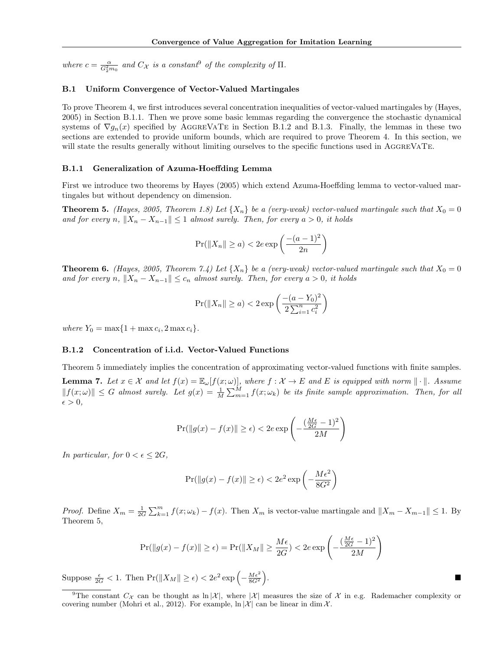where  $c = \frac{\alpha}{G_2^2 m_0}$  and  $C_{\mathcal{X}}$  is a constant<sup>9</sup> of the complexity of  $\Pi$ .

## B.1 Uniform Convergence of Vector-Valued Martingales

To prove Theorem 4, we first introduces several concentration inequalities of vector-valued martingales by (Hayes, 2005) in Section B.1.1. Then we prove some basic lemmas regarding the convergence the stochastic dynamical systems of  $\nabla g_n(x)$  specified by AGGREVATE in Section B.1.2 and B.1.3. Finally, the lemmas in these two sections are extended to provide uniform bounds, which are required to prove Theorem 4. In this section, we will state the results generally without limiting ourselves to the specific functions used in AGGREVATE.

#### B.1.1 Generalization of Azuma-Hoeffding Lemma

First we introduce two theorems by Hayes (2005) which extend Azuma-Hoeffding lemma to vector-valued martingales but without dependency on dimension.

**Theorem 5.** (Hayes, 2005, Theorem 1.8) Let  $\{X_n\}$  be a (very-weak) vector-valued martingale such that  $X_0 = 0$ and for every n,  $||X_n - X_{n-1}|| \leq 1$  almost surely. Then, for every  $a > 0$ , it holds

$$
\Pr(||X_n|| \ge a) < 2e \exp\left(\frac{-(a-1)^2}{2n}\right)
$$

**Theorem 6.** (Hayes, 2005, Theorem 7.4) Let  $\{X_n\}$  be a (very-weak) vector-valued martingale such that  $X_0 = 0$ and for every n,  $||X_n - X_{n-1}|| \leq c_n$  almost surely. Then, for every  $a > 0$ , it holds

$$
\Pr(||X_n|| \ge a) < 2 \exp\left(\frac{-(a - Y_0)^2}{2\sum_{i=1}^n c_i^2}\right)
$$

where  $Y_0 = \max\{1 + \max c_i, 2 \max c_i\}.$ 

## B.1.2 Concentration of i.i.d. Vector-Valued Functions

Theorem 5 immediately implies the concentration of approximating vector-valued functions with finite samples.

**Lemma 7.** Let  $x \in \mathcal{X}$  and let  $f(x) = \mathbb{E}_{\omega}[f(x; \omega)]$ , where  $f : \mathcal{X} \to E$  and E is equipped with norm  $\|\cdot\|$ . Assume  $|| f(x; \omega) || \leq G$  almost surely. Let  $g(x) = \frac{1}{M} \sum_{m=1}^{M} f(x; \omega_k)$  be its finite sample approximation. Then, for all  $\epsilon > 0$ ,

$$
\Pr(\|g(x) - f(x)\| \ge \epsilon) < 2e \exp\left(-\frac{(\frac{M\epsilon}{2G} - 1)^2}{2M}\right)
$$

In particular, for  $0 < \epsilon \leq 2G$ ,

$$
\Pr(||g(x) - f(x)|| \ge \epsilon) < 2e^2 \exp\left(-\frac{M\epsilon^2}{8G^2}\right)
$$

*Proof.* Define  $X_m = \frac{1}{2G} \sum_{k=1}^m f(x; \omega_k) - f(x)$ . Then  $X_m$  is vector-value martingale and  $||X_m - X_{m-1}|| \le 1$ . By Theorem 5,

$$
\Pr(\|g(x) - f(x)\| \ge \epsilon) = \Pr(\|X_M\| \ge \frac{M\epsilon}{2G}) < 2e \exp\left(-\frac{\left(\frac{M\epsilon}{2G} - 1\right)^2}{2M}\right)
$$

Suppose  $\frac{\epsilon}{2G} < 1$ . Then  $\Pr(\|X_M\| \geq \epsilon) < 2e^2 \exp\left(-\frac{M\epsilon^2}{8G^2}\right)$ .

<sup>&</sup>lt;sup>9</sup>The constant  $C_{\mathcal{X}}$  can be thought as  $\ln |\mathcal{X}|$ , where  $|\mathcal{X}|$  measures the size of  $\mathcal{X}$  in e.g. Rademacher complexity or covering number (Mohri et al., 2012). For example,  $\ln |\mathcal{X}|$  can be linear in dim X.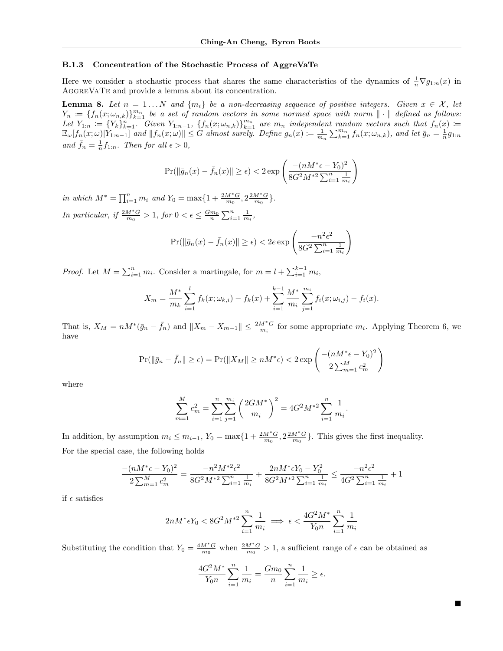## B.1.3 Concentration of the Stochastic Process of AggreVaTe

Here we consider a stochastic process that shares the same characteristics of the dynamics of  $\frac{1}{n} \nabla g_{1:n}(x)$  in AggreVaTe and provide a lemma about its concentration.

**Lemma 8.** Let  $n = 1...N$  and  $\{m_i\}$  be a non-decreasing sequence of positive integers. Given  $x \in \mathcal{X}$ , let  $Y_n \coloneqq \{f_n(x; \omega_{n,k})\}_{k=1}^{m_n}$  be a set of random vectors in some normed space with norm  $\|\cdot\|$  defined as follows: Let  $Y_{1:n} := \{Y_k\}_{k=1}^n$ . Given  $Y_{1:n-1}$ ,  $\{f_n(x;\omega_{n,k})\}_{k=1}^{m_n}$  are  $m_n$  independent random vectors such that  $f_n(x) :=$  $\mathbb{E}_{\omega}[f_n(x;\omega)|Y_{1:n-1}]$  and  $||f_n(x;\omega)|| \leq G$  almost surely. Define  $g_n(x) := \frac{1}{m_n} \sum_{k=1}^{m_n} f_n(x;\omega_{n,k})$ , and let  $\bar{g}_n = \frac{1}{n}g_{1:n}$ and  $\bar{f}_n = \frac{1}{n} f_{1:n}$ . Then for all  $\epsilon > 0$ ,

$$
\Pr(\|\bar{g}_n(x) - \bar{f}_n(x)\| \ge \epsilon) < 2 \exp\left(\frac{-(nM^*\epsilon - Y_0)^2}{8G^2M^{*2}\sum_{i=1}^n \frac{1}{m_i}}\right)
$$

in which  $M^* = \prod_{i=1}^n m_i$  and  $Y_0 = \max\{1 + \frac{2M^*G}{m_0}, 2\frac{2M^*G}{m_0}\}.$ In particular, if  $\frac{2M^*G}{m_0} > 1$ , for  $0 < \epsilon \leq \frac{Gm_0}{n} \sum_{i=1}^n \frac{1}{m_i}$ ,

$$
\Pr(\|\bar{g}_n(x) - \bar{f}_n(x)\| \ge \epsilon) < 2e \exp\left(\frac{-n^2\epsilon^2}{8G^2 \sum_{i=1}^n \frac{1}{m_i}}\right)
$$

*Proof.* Let  $M = \sum_{i=1}^{n} m_i$ . Consider a martingale, for  $m = l + \sum_{i=1}^{k-1} m_i$ ,

$$
X_m = \frac{M^*}{m_k} \sum_{i=1}^l f_k(x; \omega_{k,i}) - f_k(x) + \sum_{i=1}^{k-1} \frac{M^*}{m_i} \sum_{j=1}^{m_i} f_i(x; \omega_{i,j}) - f_i(x).
$$

That is,  $X_M = nM^*(\bar{g}_n - \bar{f}_n)$  and  $||X_m - X_{m-1}|| \leq \frac{2M^*G}{m_i}$  for some appropriate  $m_i$ . Applying Theorem 6, we have

$$
\Pr(\|\bar{g}_n - \bar{f}_n\| \ge \epsilon) = \Pr(\|X_M\| \ge nM^*\epsilon) < 2\exp\left(\frac{-(nM^*\epsilon - Y_0)^2}{2\sum_{m=1}^M c_m^2}\right)
$$

where

$$
\sum_{m=1}^{M} c_m^2 = \sum_{i=1}^{n} \sum_{j=1}^{m_i} \left( \frac{2GM^*}{m_i} \right)^2 = 4G^2 M^{*2} \sum_{i=1}^{n} \frac{1}{m_i}.
$$

In addition, by assumption  $m_i \leq m_{i-1}$ ,  $Y_0 = \max\{1 + \frac{2M^*G}{m_0}, 2\frac{2M^*G}{m_0}\}\.$  This gives the first inequality. For the special case, the following holds

$$
\frac{-(nM^*\epsilon - Y_0)^2}{2\sum_{m=1}^M c_m^2} = \frac{-n^2M^{*2}\epsilon^2}{8G^2M^{*2}\sum_{i=1}^n \frac{1}{m_i}} + \frac{2nM^*\epsilon Y_0 - Y_0^2}{8G^2M^{*2}\sum_{i=1}^n \frac{1}{m_i}} \le \frac{-n^2\epsilon^2}{4G^2\sum_{i=1}^n \frac{1}{m_i}} + 1
$$

if  $\epsilon$  satisfies

$$
2nM^* \epsilon Y_0 < 8G^2 M^{*2} \sum_{i=1}^n \frac{1}{m_i} \implies \epsilon < \frac{4G^2M^*}{Y_0 n} \sum_{i=1}^n \frac{1}{m_i}
$$

Substituting the condition that  $Y_0 = \frac{4M^*G}{m_0}$  when  $\frac{2M^*G}{m_0} > 1$ , a sufficient range of  $\epsilon$  can be obtained as

$$
\frac{4G^2M^*}{Y_0n}\sum_{i=1}^n\frac{1}{m_i} = \frac{Gm_0}{n}\sum_{i=1}^n\frac{1}{m_i} \ge \epsilon.
$$

■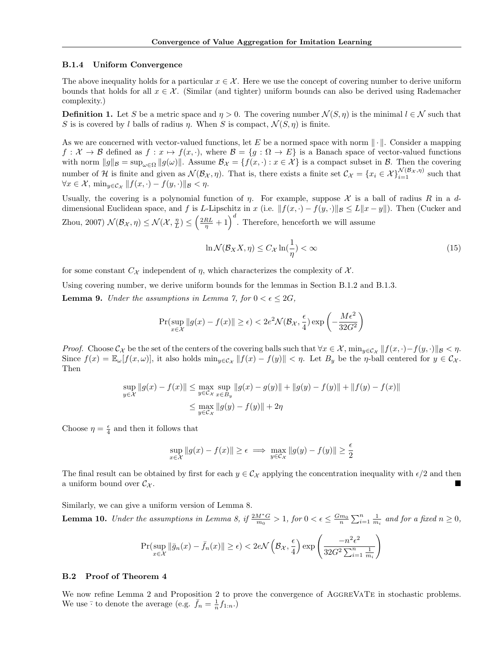#### B.1.4 Uniform Convergence

The above inequality holds for a particular  $x \in \mathcal{X}$ . Here we use the concept of covering number to derive uniform bounds that holds for all  $x \in \mathcal{X}$ . (Similar (and tighter) uniform bounds can also be derived using Rademacher complexity.)

**Definition 1.** Let S be a metric space and  $\eta > 0$ . The covering number  $\mathcal{N}(S, \eta)$  is the minimal  $l \in \mathcal{N}$  such that S is is covered by l balls of radius  $\eta$ . When S is compact,  $\mathcal{N}(S, \eta)$  is finite.

As we are concerned with vector-valued functions, let E be a normed space with norm  $\|\cdot\|$ . Consider a mapping  $f: \mathcal{X} \to \mathcal{B}$  defined as  $f: x \mapsto f(x, \cdot)$ , where  $\mathcal{B} = \{g: \Omega \to E\}$  is a Banach space of vector-valued functions with norm  $||g||_{\mathcal{B}} = \sup_{\omega \in \Omega} ||g(\omega)||$ . Assume  $\mathcal{B}_{\mathcal{X}} = \{f(x, \cdot) : x \in \mathcal{X}\}\$ is a compact subset in  $\mathcal{B}$ . Then the covering number of H is finite and given as  $\mathcal{N}(\mathcal{B}_{\mathcal{X}}, \eta)$ . That is, there exists a finite set  $\mathcal{C}_{\mathcal{X}} = \{x_i \in \mathcal{X}\}_{i=1}^{\mathcal{N}(\mathcal{B}_{\mathcal{X}}, \eta)}$  such that  $\forall x \in \mathcal{X}, \min_{y \in \mathcal{C}_{\mathcal{X}}} || f(x, \cdot) - f(y, \cdot) ||_{\mathcal{B}} < \eta.$ 

Usually, the covering is a polynomial function of  $\eta$ . For example, suppose X is a ball of radius R in a ddimensional Euclidean space, and f is L-Lipschitz in x (i.e.  $||f(x, \cdot) - f(y, \cdot)||_{\mathcal{B}} \le L||x - y||$ ). Then (Cucker and Zhou, 2007)  $\mathcal{N}(\mathcal{B}_{\mathcal{X}}, \eta) \leq \mathcal{N}(\mathcal{X}, \frac{\eta}{L}) \leq \left(\frac{2RL}{\eta} + 1\right)^d$ . Therefore, henceforth we will assume

$$
\ln \mathcal{N}(\mathcal{B}_X X, \eta) \le C_{\mathcal{X}} \ln(\frac{1}{\eta}) < \infty \tag{15}
$$

for some constant  $C_{\mathcal{X}}$  independent of  $\eta$ , which characterizes the complexity of  $\mathcal{X}$ .

Using covering number, we derive uniform bounds for the lemmas in Section B.1.2 and B.1.3.

**Lemma 9.** Under the assumptions in Lemma 7, for  $0 < \epsilon \leq 2G$ ,

$$
\Pr(\sup_{x \in \mathcal{X}} \|g(x) - f(x)\| \ge \epsilon) < 2e^{2} \mathcal{N}(\mathcal{B}_{\mathcal{X}}, \frac{\epsilon}{4}) \exp\left(-\frac{M\epsilon^{2}}{32G^{2}}\right)
$$

*Proof.* Choose  $\mathcal{C}_{\mathcal{X}}$  be the set of the centers of the covering balls such that  $\forall x \in \mathcal{X}$ ,  $\min_{y \in \mathcal{C}_{\mathcal{X}}} ||f(x, \cdot) - f(y, \cdot)||_{\mathcal{B}} < \eta$ . Since  $f(x) = \mathbb{E}_{\omega}[f(x,\omega)]$ , it also holds  $\min_{y \in \mathcal{C}_{\mathcal{X}}} ||f(x) - f(y)|| < \eta$ . Let  $B_y$  be the  $\eta$ -ball centered for  $y \in \mathcal{C}_{\mathcal{X}}$ . Then

$$
\sup_{y \in \mathcal{X}} \|g(x) - f(x)\| \le \max_{y \in \mathcal{C}_{\mathcal{X}}} \sup_{x \in B_y} \|g(x) - g(y)\| + \|g(y) - f(y)\| + \|f(y) - f(x)\|
$$
  

$$
\le \max_{y \in \mathcal{C}_{\mathcal{X}}} \|g(y) - f(y)\| + 2\eta
$$

Choose  $\eta = \frac{\epsilon}{4}$  and then it follows that

$$
\sup_{x \in \mathcal{X}} \|g(x) - f(x)\| \ge \epsilon \implies \max_{y \in \mathcal{C}_{\mathcal{X}}} \|g(y) - f(y)\| \ge \frac{\epsilon}{2}
$$

The final result can be obtained by first for each  $y \in C_{\mathcal{X}}$  applying the concentration inequality with  $\epsilon/2$  and then a uniform bound over  $\mathcal{C}_{\mathcal{X}}$ .

Similarly, we can give a uniform version of Lemma 8.

**Lemma 10.** Under the assumptions in Lemma 8, if  $\frac{2M^*G}{m_0} > 1$ , for  $0 < \epsilon \leq \frac{Gm_0}{n} \sum_{i=1}^n \frac{1}{m_i}$  and for a fixed  $n \geq 0$ ,

$$
\Pr(\sup_{x \in \mathcal{X}} \|\bar{g}_n(x) - \bar{f}_n(x)\| \ge \epsilon) < 2e\mathcal{N}\left(\mathcal{B}_{\mathcal{X}}, \frac{\epsilon}{4}\right) \exp\left(\frac{-n^2\epsilon^2}{32G^2\sum_{i=1}^n \frac{1}{m_i}}\right)
$$

### B.2 Proof of Theorem 4

We now refine Lemma 2 and Proposition 2 to prove the convergence of AGGREVATE in stochastic problems. We use  $\overline{\cdot}$  to denote the average (e.g.  $\overline{f}_n = \frac{1}{n} f_{1:n}$ .)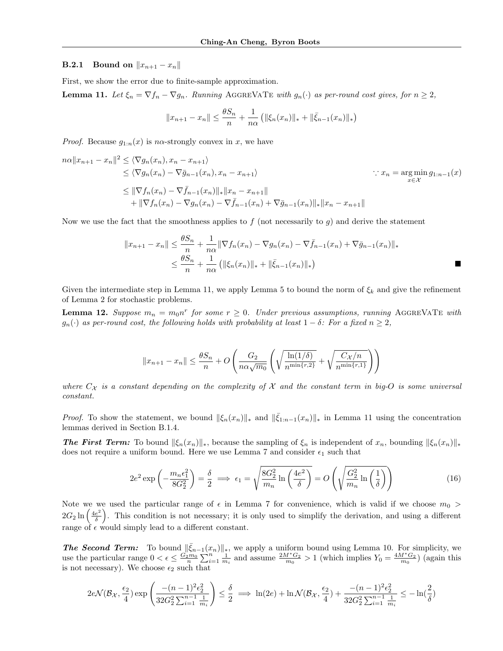## **B.2.1** Bound on  $||x_{n+1} - x_n||$

First, we show the error due to finite-sample approximation.

**Lemma 11.** Let  $\xi_n = \nabla f_n - \nabla g_n$ . Running AGGREVATE with  $g_n(\cdot)$  as per-round cost gives, for  $n \geq 2$ ,

$$
||x_{n+1} - x_n|| \le \frac{\theta S_n}{n} + \frac{1}{n\alpha} (||\xi_n(x_n)||_* + ||\bar{\xi}_{n-1}(x_n)||_*)
$$

*Proof.* Because  $g_{1:n}(x)$  is n $\alpha$ -strongly convex in x, we have

$$
n\alpha ||x_{n+1} - x_n||^2 \le \langle \nabla g_n(x_n), x_n - x_{n+1} \rangle
$$
  
\n
$$
\le \langle \nabla g_n(x_n) - \nabla \bar{g}_{n-1}(x_n), x_n - x_{n+1} \rangle
$$
  
\n
$$
\le ||\nabla f_n(x_n) - \nabla \bar{f}_{n-1}(x_n)||_* ||x_n - x_{n+1}||
$$
  
\n
$$
+ ||\nabla f_n(x_n) - \nabla g_n(x_n) - \nabla \bar{f}_{n-1}(x_n) + \nabla \bar{g}_{n-1}(x_n)||_* ||x_n - x_{n+1}||
$$
  
\n
$$
\le ||\nabla f_n(x_n) - \nabla g_n(x_n) - \nabla \bar{f}_{n-1}(x_n) + \nabla \bar{g}_{n-1}(x_n)||_* ||x_n - x_{n+1}||
$$

Now we use the fact that the smoothness applies to f (not necessarily to  $g$ ) and derive the statement

$$
||x_{n+1} - x_n|| \le \frac{\theta S_n}{n} + \frac{1}{n\alpha} ||\nabla f_n(x_n) - \nabla g_n(x_n) - \nabla \bar{f}_{n-1}(x_n) + \nabla \bar{g}_{n-1}(x_n)||_*\n\le \frac{\theta S_n}{n} + \frac{1}{n\alpha} (||\xi_n(x_n)||_* + ||\bar{\xi}_{n-1}(x_n)||_*)
$$

Given the intermediate step in Lemma 11, we apply Lemma 5 to bound the norm of  $\xi_k$  and give the refinement of Lemma 2 for stochastic problems.

**Lemma 12.** Suppose  $m_n = m_0 n^r$  for some  $r \geq 0$ . Under previous assumptions, running AGGREVATE with  $g_n(\cdot)$  as per-round cost, the following holds with probability at least  $1 - \delta$ : For a fixed  $n \geq 2$ ,

$$
||x_{n+1} - x_n|| \le \frac{\theta S_n}{n} + O\left(\frac{G_2}{n\alpha\sqrt{m_0}} \left(\sqrt{\frac{\ln(1/\delta)}{n^{\min\{r,2\}}}} + \sqrt{\frac{C_{\mathcal{X}}/n}{n^{\min\{r,1\}}}}\right)\right)
$$

where  $C_{\mathcal{X}}$  is a constant depending on the complexity of  $\mathcal X$  and the constant term in big-O is some universal constant.

*Proof.* To show the statement, we bound  $\|\xi_n(x_n)\|_*$  and  $\|\bar{\xi}_{1:n-1}(x_n)\|_*$  in Lemma 11 using the concentration lemmas derived in Section B.1.4.

**The First Term:** To bound  $\|\xi_n(x_n)\|_*$ , because the sampling of  $\xi_n$  is independent of  $x_n$ , bounding  $\|\xi_n(x_n)\|_*$ does not require a uniform bound. Here we use Lemma 7 and consider  $\epsilon_1$  such that

$$
2e^2 \exp\left(-\frac{m_n\epsilon_1^2}{8G_2^2}\right) = \frac{\delta}{2} \implies \epsilon_1 = \sqrt{\frac{8G_2^2}{m_n} \ln\left(\frac{4e^2}{\delta}\right)} = O\left(\sqrt{\frac{G_2^2}{m_n} \ln\left(\frac{1}{\delta}\right)}\right)
$$
(16)

Note we we used the particular range of  $\epsilon$  in Lemma 7 for convenience, which is valid if we choose  $m_0$  >  $2G_2 \ln \left( \frac{4e^2}{\delta} \right)$  $\frac{e^2}{\delta}$ . This condition is not necessary; it is only used to simplify the derivation, and using a different range of  $\epsilon$  would simply lead to a different constant.

**The Second Term:** To bound  $\|\bar{\xi}_{n-1}(x_n)\|_*$ , we apply a uniform bound using Lemma 10. For simplicity, we use the particular range  $0 < \epsilon \leq \frac{G_2^{\text{b}} m_0}{n} \sum_{i=1}^n \frac{1}{m_i}$  and assume  $\frac{2M^*G_2}{m_0} > 1$  (which implies  $Y_0 = \frac{4M^*G_2}{m_0}$ ) (again this is not necessary). We choose  $\epsilon_2$  such that

$$
2e\mathcal{N}(\mathcal{B}_{\mathcal{X}}, \frac{\epsilon_2}{4})\exp\left(\frac{-(n-1)^2\epsilon_2^2}{32G_2^2\sum_{i=1}^{n-1}\frac{1}{m_i}}\right)\leq \frac{\delta}{2} \implies \ln(2e) + \ln \mathcal{N}(\mathcal{B}_{\mathcal{X}}, \frac{\epsilon_2}{4}) + \frac{-(n-1)^2\epsilon_2^2}{32G_2^2\sum_{i=1}^{n-1}\frac{1}{m_i}} \leq -\ln(\frac{2}{\delta})
$$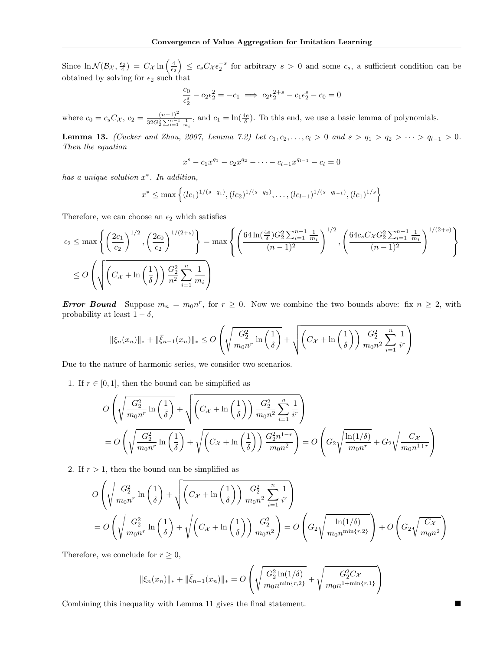Since  $\ln \mathcal{N}(\mathcal{B}_{\mathcal{X}}, \frac{\epsilon_2}{4}) = C_{\mathcal{X}} \ln \left( \frac{4}{\epsilon_2} \right) \leq c_s C_{\mathcal{X}} \epsilon_2^{-s}$  for arbitrary  $s > 0$  and some  $c_s$ , a sufficient condition can be obtained by solving for  $\epsilon_2$  such that

$$
\frac{c_0}{\epsilon_2^s} - c_2 \epsilon_2^2 = -c_1 \implies c_2 \epsilon_2^{2+s} - c_1 \epsilon_2^s - c_0 = 0
$$

where  $c_0 = c_s C_{\mathcal{X}}, c_2 = \frac{(n-1)^2}{32C^2 \sum_{n=1}^{n-1}}$  $\frac{(n-1)^2}{32G_2^2 \sum_{i=1}^{n-1} \frac{1}{m_i}}$ , and  $c_1 = \ln(\frac{4e}{\delta})$ . To this end, we use a basic lemma of polynomials.

Lemma 13. (Cucker and Zhou, 2007, Lemma 7.2) Let  $c_1, c_2, ..., c_l > 0$  and  $s > q_1 > q_2 > ... > q_{l-1} > 0$ . Then the equation

$$
x^{s} - c_1 x^{q_1} - c_2 x^{q_2} - \dots - c_{l-1} x^{q_{l-1}} - c_l = 0
$$

has a unique solution  $x^*$ . In addition,

$$
x^* \le \max\left\{ (lc_1)^{1/(s-q_1)}, (lc_2)^{1/(s-q_2)}, \ldots, (lc_{l-1})^{1/(s-q_{l-1})}, (lc_1)^{1/s} \right\}
$$

Therefore, we can choose an  $\epsilon_2$  which satisfies

$$
\epsilon_2 \le \max\left\{ \left(\frac{2c_1}{c_2}\right)^{1/2}, \left(\frac{2c_0}{c_2}\right)^{1/(2+s)} \right\} = \max\left\{ \left(\frac{64\ln(\frac{4e}{\delta})G_2^2 \sum_{i=1}^{n-1} \frac{1}{m_i}}{(n-1)^2}\right)^{1/2}, \left(\frac{64c_sC_{\chi}G_2^2 \sum_{i=1}^{n-1} \frac{1}{m_i}}{(n-1)^2}\right)^{1/(2+s)} \right\}
$$
  

$$
\le O\left(\sqrt{\left(C_{\chi} + \ln\left(\frac{1}{\delta}\right)\right) \frac{G_2^2}{n^2} \sum_{i=1}^n \frac{1}{m_i}}\right)
$$

**Error Bound** Suppose  $m_n = m_0 n^r$ , for  $r \ge 0$ . Now we combine the two bounds above: fix  $n \ge 2$ , with probability at least  $1 - \delta$ ,

$$
\|\xi_n(x_n)\|_{*} + \|\bar{\xi}_{n-1}(x_n)\|_{*} \leq O\left(\sqrt{\frac{G_2^2}{m_0 n^r} \ln\left(\frac{1}{\delta}\right)} + \sqrt{\left(C_{\mathcal{X}} + \ln\left(\frac{1}{\delta}\right)\right) \frac{G_2^2}{m_0 n^2} \sum_{i=1}^n \frac{1}{i^r}\right)}
$$

Due to the nature of harmonic series, we consider two scenarios.

1. If  $r \in [0, 1]$ , then the bound can be simplified as

$$
O\left(\sqrt{\frac{G_2^2}{m_0 n^r} \ln\left(\frac{1}{\delta}\right)} + \sqrt{\left(C_X + \ln\left(\frac{1}{\delta}\right)\right) \frac{G_2^2}{m_0 n^2} \sum_{i=1}^n \frac{1}{i^r}}\right)
$$
  
= 
$$
O\left(\sqrt{\frac{G_2^2}{m_0 n^r} \ln\left(\frac{1}{\delta}\right)} + \sqrt{\left(C_X + \ln\left(\frac{1}{\delta}\right)\right) \frac{G_2^2 n^{1-r}}{m_0 n^2}}\right) = O\left(G_2 \sqrt{\frac{\ln(1/\delta)}{m_0 n^r}} + G_2 \sqrt{\frac{C_X}{m_0 n^{1+r}}}\right)
$$

2. If  $r > 1$ , then the bound can be simplified as

$$
O\left(\sqrt{\frac{G_2^2}{m_0 n^r} \ln\left(\frac{1}{\delta}\right)} + \sqrt{\left(C_X + \ln\left(\frac{1}{\delta}\right)\right) \frac{G_2^2}{m_0 n^2} \sum_{i=1}^n \frac{1}{i^r}}\right)
$$
  
= 
$$
O\left(\sqrt{\frac{G_2^2}{m_0 n^r} \ln\left(\frac{1}{\delta}\right)} + \sqrt{\left(C_X + \ln\left(\frac{1}{\delta}\right)\right) \frac{G_2^2}{m_0 n^2}}\right) = O\left(G_2 \sqrt{\frac{\ln(1/\delta)}{m_0 n^{\min\{r,2\}}}}\right) + O\left(G_2 \sqrt{\frac{C_X}{m_0 n^2}}\right)
$$

Therefore, we conclude for  $r \geq 0$ ,

$$
\|\xi_n(x_n)\|_{*} + \|\bar{\xi}_{n-1}(x_n)\|_{*} = O\left(\sqrt{\frac{G_2^2 \ln(1/\delta)}{m_0 n^{\min\{r,2\}}}} + \sqrt{\frac{G_2^2 C_X}{m_0 n^{1+\min\{r,1\}}}}\right)
$$

Combining this inequality with Lemma 11 gives the final statement.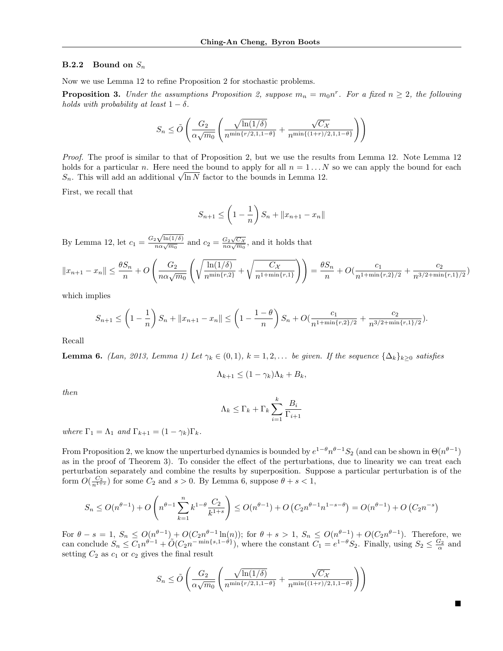#### **B.2.2** Bound on  $S_n$

Now we use Lemma 12 to refine Proposition 2 for stochastic problems.

**Proposition 3.** Under the assumptions Proposition 2, suppose  $m_n = m_0 n^r$ . For a fixed  $n \ge 2$ , the following holds with probability at least  $1 - \delta$ .

$$
S_n \le \tilde{O}\left(\frac{G_2}{\alpha\sqrt{m_0}}\left(\frac{\sqrt{\ln(1/\delta)}}{n^{\min\{r/2,1,1-\theta\}}} + \frac{\sqrt{C_{\mathcal{X}}}}{n^{\min\{(1+r)/2,1,1-\theta\}}}\right)\right)
$$

Proof. The proof is similar to that of Proposition 2, but we use the results from Lemma 12. Note Lemma 12 holds for a particular n. Here need the bound to apply for all  $n = 1...N$  so we can apply the bound for each not is to the particular *n*. Here need the bound to apply for all  $n = 1...N$ <br> $S_n$ . This will add an additional  $\sqrt{\ln N}$  factor to the bounds in Lemma 12.

First, we recall that

$$
S_{n+1} \le \left(1 - \frac{1}{n}\right) S_n + ||x_{n+1} - x_n||
$$

By Lemma 12, let  $c_1 = \frac{G_2\sqrt{\ln(1/\delta)}}{n\alpha\sqrt{m_0}}$  and  $c_2 = \frac{G_2\sqrt{C_X}}{n\alpha\sqrt{m_0}}$ , and it holds that

$$
||x_{n+1} - x_n|| \le \frac{\theta S_n}{n} + O\left(\frac{G_2}{n\alpha\sqrt{m_0}} \left(\sqrt{\frac{\ln(1/\delta)}{n^{\min\{r,2\}}}} + \sqrt{\frac{C_X}{n^{1+\min\{r,1\}}}}\right)\right) = \frac{\theta S_n}{n} + O\left(\frac{c_1}{n^{1+\min\{r,2\}/2}} + \frac{c_2}{n^{3/2+\min\{r,1\}/2}}\right)
$$

which implies

$$
S_{n+1} \le \left(1 - \frac{1}{n}\right) S_n + ||x_{n+1} - x_n|| \le \left(1 - \frac{1 - \theta}{n}\right) S_n + O\left(\frac{c_1}{n^{1 + \min\{r, 2\}/2}} + \frac{c_2}{n^{3/2 + \min\{r, 1\}/2}}\right).
$$

Recall

**Lemma 6.** (Lan, 2013, Lemma 1) Let  $\gamma_k \in (0,1)$ ,  $k = 1,2,...$  be given. If the sequence  $\{\Delta_k\}_{k\geq 0}$  satisfies

$$
\Lambda_{k+1} \le (1 - \gamma_k)\Lambda_k + B_k,
$$

then

$$
\Lambda_k \leq \Gamma_k + \Gamma_k \sum_{i=1}^k \frac{B_i}{\Gamma_{i+1}}
$$

where  $\Gamma_1 = \Lambda_1$  and  $\Gamma_{k+1} = (1 - \gamma_k) \Gamma_k$ .

From Proposition 2, we know the unperturbed dynamics is bounded by  $e^{1-\theta}n^{\theta-1}S_2$  (and can be shown in  $\Theta(n^{\theta-1})$ as in the proof of Theorem 3). To consider the effect of the perturbations, due to linearity we can treat each perturbation separately and combine the results by superposition. Suppose a particular perturbation is of the form  $O(\frac{C_2}{n^{1+s}})$  for some  $C_2$  and  $s > 0$ . By Lemma 6, suppose  $\theta + s < 1$ ,

$$
S_n \le O(n^{\theta-1}) + O\left(n^{\theta-1} \sum_{k=1}^n k^{1-\theta} \frac{C_2}{k^{1+s}}\right) \le O(n^{\theta-1}) + O\left(C_2 n^{\theta-1} n^{1-s-\theta}\right) = O(n^{\theta-1}) + O\left(C_2 n^{-s}\right)
$$

For  $\theta - s = 1$ ,  $S_n \leq O(n^{\theta-1}) + O(C_2 n^{\theta-1} \ln(n))$ ; for  $\theta + s > 1$ ,  $S_n \leq O(n^{\theta-1}) + O(C_2 n^{\theta-1})$ . Therefore, we can conclude  $S_n \leq C_1 n^{\theta-1} + \tilde{O}(C_2 n^{-\min\{s,1-\theta\}})$ , where the constant  $C_1 = e^{1-\theta} S_2$ . Finally, using  $S_2 \leq \frac{G_2}{\alpha}$  and setting  $C_2$  as  $c_1$  or  $c_2$  gives the final result

$$
S_n \le \tilde{O}\left(\frac{G_2}{\alpha\sqrt{m_0}}\left(\frac{\sqrt{\ln(1/\delta)}}{n^{\min\{r/2,1,1-\theta\}}} + \frac{\sqrt{C_{\mathcal{X}}}}{n^{\min\{(1+r)/2,1,1-\theta\}}}\right)\right)
$$

■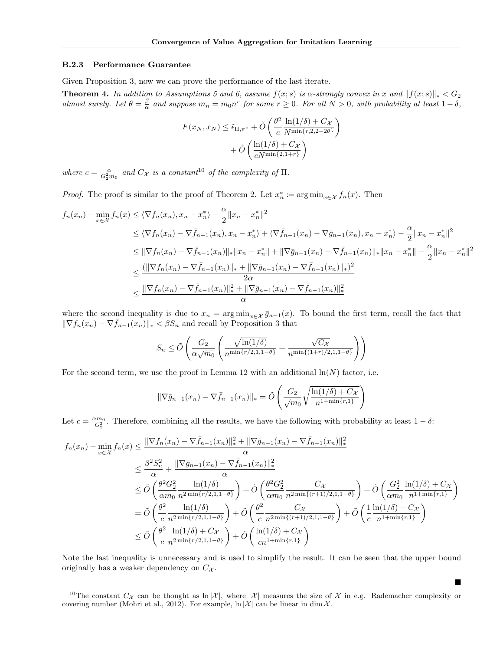#### B.2.3 Performance Guarantee

Given Proposition 3, now we can prove the performance of the last iterate.

**Theorem 4.** In addition to Assumptions 5 and 6, assume  $f(x; s)$  is  $\alpha$ -strongly convex in x and  $||f(x; s)||_* < G_2$ almost surely. Let  $\theta = \frac{\beta}{\alpha}$  and suppose  $m_n = m_0 n^r$  for some  $r \ge 0$ . For all  $N > 0$ , with probability at least  $1 - \delta$ ,

$$
F(x_N, x_N) \leq \tilde{\epsilon}_{\Pi, \pi^*} + \tilde{O}\left(\frac{\theta^2}{c} \frac{\ln(1/\delta) + C_{\mathcal{X}}}{N^{\min\{r, 2, 2 - 2\theta\}}}\right) + \tilde{O}\left(\frac{\ln(1/\delta) + C_{\mathcal{X}}}{cN^{\min\{2, 1 + r\}}}\right)
$$

where  $c = \frac{\alpha}{G_2^2 m_0}$  and  $C_{\mathcal{X}}$  is a constant<sup>10</sup> of the complexity of  $\Pi$ .

*Proof.* The proof is similar to the proof of Theorem 2. Let  $x_n^* \coloneqq \arg \min_{x \in \mathcal{X}} f_n(x)$ . Then

$$
f_n(x_n) - \min_{x \in \mathcal{X}} f_n(x) \le \langle \nabla f_n(x_n), x_n - x_n^* \rangle - \frac{\alpha}{2} \|x_n - x_n^*\|^2
$$
  
\n
$$
\le \langle \nabla f_n(x_n) - \nabla \bar{f}_{n-1}(x_n), x_n - x_n^* \rangle + \langle \nabla \bar{f}_{n-1}(x_n) - \nabla \bar{g}_{n-1}(x_n), x_n - x_n^* \rangle - \frac{\alpha}{2} \|x_n - x_n^*\|^2
$$
  
\n
$$
\le \|\nabla f_n(x_n) - \nabla \bar{f}_{n-1}(x_n)\|_{*} \|x_n - x_n^*\| + \|\nabla \bar{g}_{n-1}(x_n) - \nabla \bar{f}_{n-1}(x_n)\|_{*} \|x_n - x_n^*\| - \frac{\alpha}{2} \|x_n - x_n^*\|^2
$$
  
\n
$$
\le \frac{(\|\nabla f_n(x_n) - \nabla \bar{f}_{n-1}(x_n)\|_{*} + \|\nabla \bar{g}_{n-1}(x_n) - \nabla \bar{f}_{n-1}(x_n)\|_{*})^2}{2\alpha}
$$
  
\n
$$
\le \frac{\|\nabla f_n(x_n) - \nabla \bar{f}_{n-1}(x_n)\|_{*}^2 + \|\nabla \bar{g}_{n-1}(x_n) - \nabla \bar{f}_{n-1}(x_n)\|_{*}^2}{\alpha}
$$

where the second inequality is due to  $x_n = \arg \min_{x \in \mathcal{X}} \bar{g}_{n-1}(x)$ . To bound the first term, recall the fact that  $\|\nabla f_n(x_n) - \nabla \bar{f}_{n-1}(x_n)\|_{*} < \beta S_n$  and recall by Proposition 3 that

$$
S_n \le \tilde{O}\left(\frac{G_2}{\alpha\sqrt{m_0}}\left(\frac{\sqrt{\ln(1/\delta)}}{n^{\min\{r/2,1,1-\theta\}}} + \frac{\sqrt{C_{\mathcal{X}}}}{n^{\min\{(1+r)/2,1,1-\theta\}}}\right)\right)
$$

For the second term, we use the proof in Lemma 12 with an additional  $\ln(N)$  factor, i.e.

$$
\|\nabla \bar{g}_{n-1}(x_n) - \nabla \bar{f}_{n-1}(x_n)\|_{*} = \tilde{O}\left(\frac{G_2}{\sqrt{m_0}}\sqrt{\frac{\ln(1/\delta) + C_{\mathcal{X}}}{n^{1 + \min\{r, 1\}}}}\right)
$$

Let  $c = \frac{\alpha m_0}{G_2^2}$ . Therefore, combining all the results, we have the following with probability at least  $1 - \delta$ :

$$
f_n(x_n) - \min_{x \in \mathcal{X}} f_n(x) \le \frac{\|\nabla f_n(x_n) - \nabla \bar{f}_{n-1}(x_n)\|_{*}^2 + \|\nabla \bar{g}_{n-1}(x_n) - \nabla \bar{f}_{n-1}(x_n)\|_{*}^2}{\alpha}
$$
  
\n
$$
\le \frac{\beta^2 S_n^2}{\alpha} + \frac{\|\nabla \bar{g}_{n-1}(x_n) - \nabla \bar{f}_{n-1}(x_n)\|_{*}^2}{\alpha}
$$
  
\n
$$
\le \tilde{O}\left(\frac{\theta^2 G_2^2}{\alpha m_0} \frac{\ln(1/\delta)}{n^{2\min\{r/2, 1, 1-\theta\}}}\right) + \tilde{O}\left(\frac{\theta^2 G_2^2}{\alpha m_0} \frac{C_{\mathcal{X}}}{n^{2\min\{(r+1)/2, 1, 1-\theta\}}}\right) + \tilde{O}\left(\frac{G_2^2}{\alpha m_0} \frac{\ln(1/\delta) + C_{\mathcal{X}}}{n^{1+\min\{r, 1\}}}\right)
$$
  
\n
$$
= \tilde{O}\left(\frac{\theta^2}{c} \frac{\ln(1/\delta)}{n^{2\min\{r/2, 1, 1-\theta\}}}\right) + \tilde{O}\left(\frac{\theta^2}{c} \frac{C_{\mathcal{X}}}{n^{2\min\{(r+1)/2, 1, 1-\theta\}}}\right) + \tilde{O}\left(\frac{1}{c} \frac{\ln(1/\delta) + C_{\mathcal{X}}}{n^{1+\min\{r, 1\}}}\right)
$$
  
\n
$$
\le \tilde{O}\left(\frac{\theta^2}{c} \frac{\ln(1/\delta) + C_{\mathcal{X}}}{n^{2\min\{r/2, 1, 1-\theta\}}}\right) + \tilde{O}\left(\frac{\ln(1/\delta) + C_{\mathcal{X}}}{cn^{1+\min\{r, 1\}}}\right)
$$

Note the last inequality is unnecessary and is used to simplify the result. It can be seen that the upper bound originally has a weaker dependency on  $C_{\mathcal{X}}$ .

■

<sup>&</sup>lt;sup>10</sup>The constant  $C_{\mathcal{X}}$  can be thought as  $\ln |\mathcal{X}|$ , where  $|\mathcal{X}|$  measures the size of  $\mathcal{X}$  in e.g. Rademacher complexity or covering number (Mohri et al., 2012). For example,  $\ln |\mathcal{X}|$  can be linear in dim X.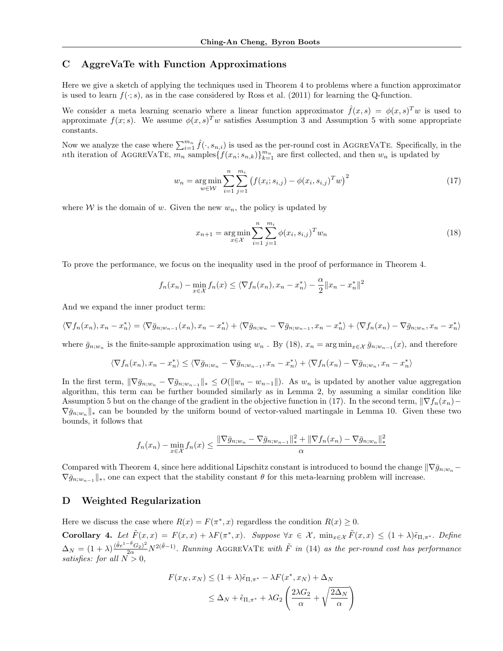# C AggreVaTe with Function Approximations

Here we give a sketch of applying the techniques used in Theorem 4 to problems where a function approximator is used to learn  $f(\cdot; s)$ , as in the case considered by Ross et al. (2011) for learning the Q-function.

We consider a meta learning scenario where a linear function approximator  $\hat{f}(x,s) = \phi(x,s)^T w$  is used to approximate  $f(x; s)$ . We assume  $\phi(x, s)^{T} w$  satisfies Assumption 3 and Assumption 5 with some appropriate constants.

Now we analyze the case where  $\sum_{i=1}^{m_n} \hat{f}(\cdot, s_{n,i})$  is used as the per-round cost in AGGREVATE. Specifically, in the nth iteration of AGGREVATE,  $\overline{m_n}$  samples  $\{f(x_n; s_{n,k})\}_{k=1}^{m_n}$  are first collected, and then  $w_n$  is updated by

$$
w_n = \underset{w \in \mathcal{W}}{\arg \min} \sum_{i=1}^n \sum_{j=1}^{m_i} \left( f(x_i; s_{i,j}) - \phi(x_i, s_{i,j})^T w \right)^2 \tag{17}
$$

where W is the domain of w. Given the new  $w_n$ , the policy is updated by

$$
x_{n+1} = \underset{x \in \mathcal{X}}{\arg \min} \sum_{i=1}^{n} \sum_{j=1}^{m_i} \phi(x_i, s_{i,j})^T w_n \tag{18}
$$

To prove the performance, we focus on the inequality used in the proof of performance in Theorem 4.

$$
f_n(x_n) - \min_{x \in \mathcal{X}} f_n(x) \le \langle \nabla f_n(x_n), x_n - x_n^* \rangle - \frac{\alpha}{2} ||x_n - x_n^*||^2
$$

And we expand the inner product term:

$$
\langle \nabla f_n(x_n), x_n - x_n^* \rangle = \langle \nabla \bar{g}_{n;w_{n-1}}(x_n), x_n - x_n^* \rangle + \langle \nabla \bar{g}_{n;w_n} - \nabla \bar{g}_{n;w_{n-1}}, x_n - x_n^* \rangle + \langle \nabla f_n(x_n) - \nabla \bar{g}_{n;w_n}, x_n - x_n^* \rangle
$$

where  $\bar{g}_{n,w_n}$  is the finite-sample approximation using  $w_n$ . By (18),  $x_n = \arg \min_{x \in \mathcal{X}} \bar{g}_{n,w_{n-1}}(x)$ , and therefore

$$
\langle \nabla f_n(x_n), x_n - x_n^* \rangle \le \langle \nabla \bar{g}_{n;w_n} - \nabla \bar{g}_{n;w_{n-1}}, x_n - x_n^* \rangle + \langle \nabla f_n(x_n) - \nabla \bar{g}_{n;w_n}, x_n - x_n^* \rangle
$$

In the first term,  $\|\nabla \bar{g}_{n;w_n} - \nabla \bar{g}_{n;w_{n-1}}\|_* \leq O(\|w_n - w_{n-1}\|)$ . As  $w_n$  is updated by another value aggregation algorithm, this term can be further bounded similarly as in Lemma 2, by assuming a similar condition like Assumption 5 but on the change of the gradient in the objective function in (17). In the second term,  $\|\nabla f_n(x_n) \nabla \bar{g}_{n;w_n} \|_{*}$  can be bounded by the uniform bound of vector-valued martingale in Lemma 10. Given these two bounds, it follows that

$$
f_n(x_n) - \min_{x \in \mathcal{X}} f_n(x) \le \frac{\|\nabla \bar{g}_{n; w_n} - \nabla \bar{g}_{n; w_{n-1}}\|_{*}^{2} + \|\nabla f_n(x_n) - \nabla \bar{g}_{n; w_n}\|_{*}^{2}}{\alpha}
$$

Compared with Theorem 4, since here additional Lipschitz constant is introduced to bound the change  $\|\nabla \bar{q}_{n;w_n} \nabla \bar{g}_{n;w_{n-1}}\|_{\ast}$ , one can expect that the stability constant  $\theta$  for this meta-learning problem will increase.

## D Weighted Regularization

Here we discuss the case where  $R(x) = F(\pi^*, x)$  regardless the condition  $R(x) \geq 0$ .

Corollary 4. Let  $\tilde{F}(x,x) = F(x,x) + \lambda F(\pi^*,x)$ . Suppose  $\forall x \in \mathcal{X}$ ,  $\min_{x \in \mathcal{X}} \tilde{F}(x,x) \leq (1+\lambda)\tilde{\epsilon}_{\Pi,\pi^*}$ . Define  $\Delta_N = (1+\lambda)\frac{(\tilde{\theta}e^{1-\tilde{\theta}}G_2)^2}{2\alpha}N^{2(\tilde{\theta}-1)}$ . Running AGGREVATE with  $\tilde{F}$  in (14) as the per-round cost has performance satisfies: for all  $N > 0$ ,

$$
F(x_N, x_N) \le (1 + \lambda)\tilde{\epsilon}_{\Pi, \pi^*} - \lambda F(x^*, x_N) + \Delta_N
$$
  

$$
\le \Delta_N + \tilde{\epsilon}_{\Pi, \pi^*} + \lambda G_2 \left(\frac{2\lambda G_2}{\alpha} + \sqrt{\frac{2\Delta_N}{\alpha}}\right)
$$